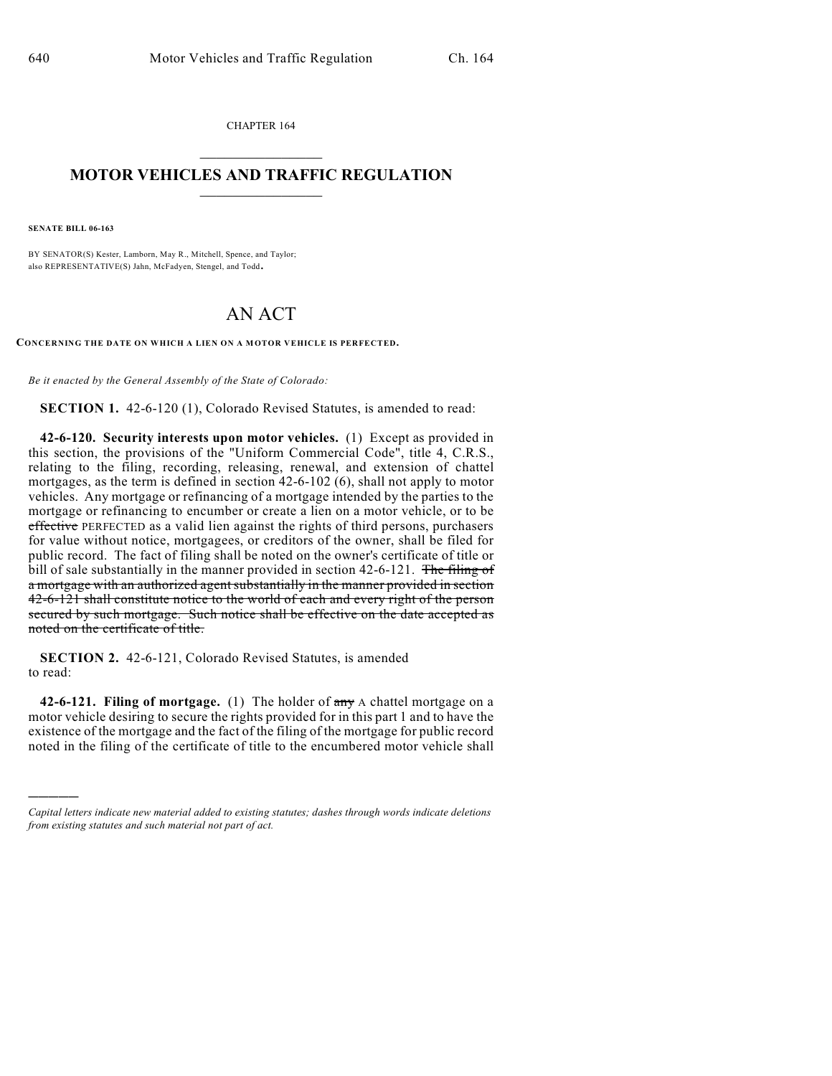CHAPTER 164  $\mathcal{L}_\text{max}$  . The set of the set of the set of the set of the set of the set of the set of the set of the set of the set of the set of the set of the set of the set of the set of the set of the set of the set of the set

## **MOTOR VEHICLES AND TRAFFIC REGULATION**  $\frac{1}{2}$  ,  $\frac{1}{2}$  ,  $\frac{1}{2}$  ,  $\frac{1}{2}$  ,  $\frac{1}{2}$  ,  $\frac{1}{2}$  ,  $\frac{1}{2}$  ,  $\frac{1}{2}$

**SENATE BILL 06-163**

)))))

BY SENATOR(S) Kester, Lamborn, May R., Mitchell, Spence, and Taylor; also REPRESENTATIVE(S) Jahn, McFadyen, Stengel, and Todd.

## AN ACT

**CONCERNING THE DATE ON WHICH A LIEN ON A MOTOR VEHICLE IS PERFECTED.**

*Be it enacted by the General Assembly of the State of Colorado:*

**SECTION 1.** 42-6-120 (1), Colorado Revised Statutes, is amended to read:

**42-6-120. Security interests upon motor vehicles.** (1) Except as provided in this section, the provisions of the "Uniform Commercial Code", title 4, C.R.S., relating to the filing, recording, releasing, renewal, and extension of chattel mortgages, as the term is defined in section 42-6-102 (6), shall not apply to motor vehicles. Any mortgage or refinancing of a mortgage intended by the parties to the mortgage or refinancing to encumber or create a lien on a motor vehicle, or to be effective PERFECTED as a valid lien against the rights of third persons, purchasers for value without notice, mortgagees, or creditors of the owner, shall be filed for public record. The fact of filing shall be noted on the owner's certificate of title or bill of sale substantially in the manner provided in section  $42-6-121$ . The filing of a mortgage with an authorized agent substantially in the manner provided in section 42-6-121 shall constitute notice to the world of each and every right of the person secured by such mortgage. Such notice shall be effective on the date accepted as noted on the certificate of title.

**SECTION 2.** 42-6-121, Colorado Revised Statutes, is amended to read:

**42-6-121. Filing of mortgage.** (1) The holder of any A chattel mortgage on a motor vehicle desiring to secure the rights provided for in this part 1 and to have the existence of the mortgage and the fact of the filing of the mortgage for public record noted in the filing of the certificate of title to the encumbered motor vehicle shall

*Capital letters indicate new material added to existing statutes; dashes through words indicate deletions from existing statutes and such material not part of act.*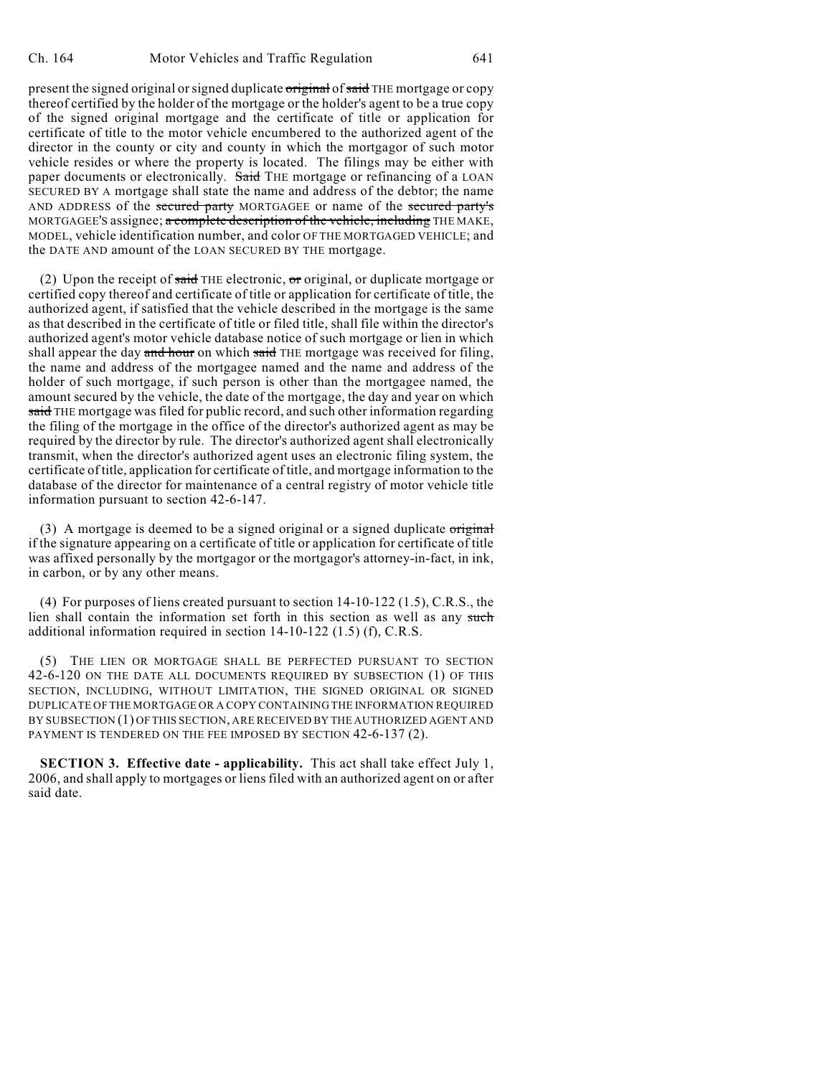present the signed original or signed duplicate original of said THE mortgage or copy thereof certified by the holder of the mortgage or the holder's agent to be a true copy of the signed original mortgage and the certificate of title or application for certificate of title to the motor vehicle encumbered to the authorized agent of the director in the county or city and county in which the mortgagor of such motor vehicle resides or where the property is located. The filings may be either with paper documents or electronically. Said THE mortgage or refinancing of a LOAN SECURED BY A mortgage shall state the name and address of the debtor; the name AND ADDRESS of the secured party MORTGAGEE or name of the secured party's MORTGAGEE'S assignee; a complete description of the vehicle, including THE MAKE, MODEL, vehicle identification number, and color OF THE MORTGAGED VEHICLE; and the DATE AND amount of the LOAN SECURED BY THE mortgage.

(2) Upon the receipt of said THE electronic,  $\sigma$  original, or duplicate mortgage or certified copy thereof and certificate of title or application for certificate of title, the authorized agent, if satisfied that the vehicle described in the mortgage is the same as that described in the certificate of title or filed title, shall file within the director's authorized agent's motor vehicle database notice of such mortgage or lien in which shall appear the day and hour on which said THE mortgage was received for filing, the name and address of the mortgagee named and the name and address of the holder of such mortgage, if such person is other than the mortgagee named, the amount secured by the vehicle, the date of the mortgage, the day and year on which said THE mortgage was filed for public record, and such other information regarding the filing of the mortgage in the office of the director's authorized agent as may be required by the director by rule. The director's authorized agent shall electronically transmit, when the director's authorized agent uses an electronic filing system, the certificate oftitle, application for certificate of title, and mortgage information to the database of the director for maintenance of a central registry of motor vehicle title information pursuant to section 42-6-147.

(3) A mortgage is deemed to be a signed original or a signed duplicate  $\sigma$ riginal if the signature appearing on a certificate of title or application for certificate of title was affixed personally by the mortgagor or the mortgagor's attorney-in-fact, in ink, in carbon, or by any other means.

(4) For purposes of liens created pursuant to section 14-10-122 (1.5), C.R.S., the lien shall contain the information set forth in this section as well as any such additional information required in section 14-10-122 (1.5) (f), C.R.S.

(5) THE LIEN OR MORTGAGE SHALL BE PERFECTED PURSUANT TO SECTION 42-6-120 ON THE DATE ALL DOCUMENTS REQUIRED BY SUBSECTION (1) OF THIS SECTION, INCLUDING, WITHOUT LIMITATION, THE SIGNED ORIGINAL OR SIGNED DUPLICATE OF THE MORTGAGE OR A COPY CONTAINING THE INFORMATION REQUIRED BY SUBSECTION (1) OF THIS SECTION, ARE RECEIVED BY THE AUTHORIZED AGENT AND PAYMENT IS TENDERED ON THE FEE IMPOSED BY SECTION 42-6-137 (2).

**SECTION 3. Effective date - applicability.** This act shall take effect July 1, 2006, and shall apply to mortgages or liens filed with an authorized agent on or after said date.